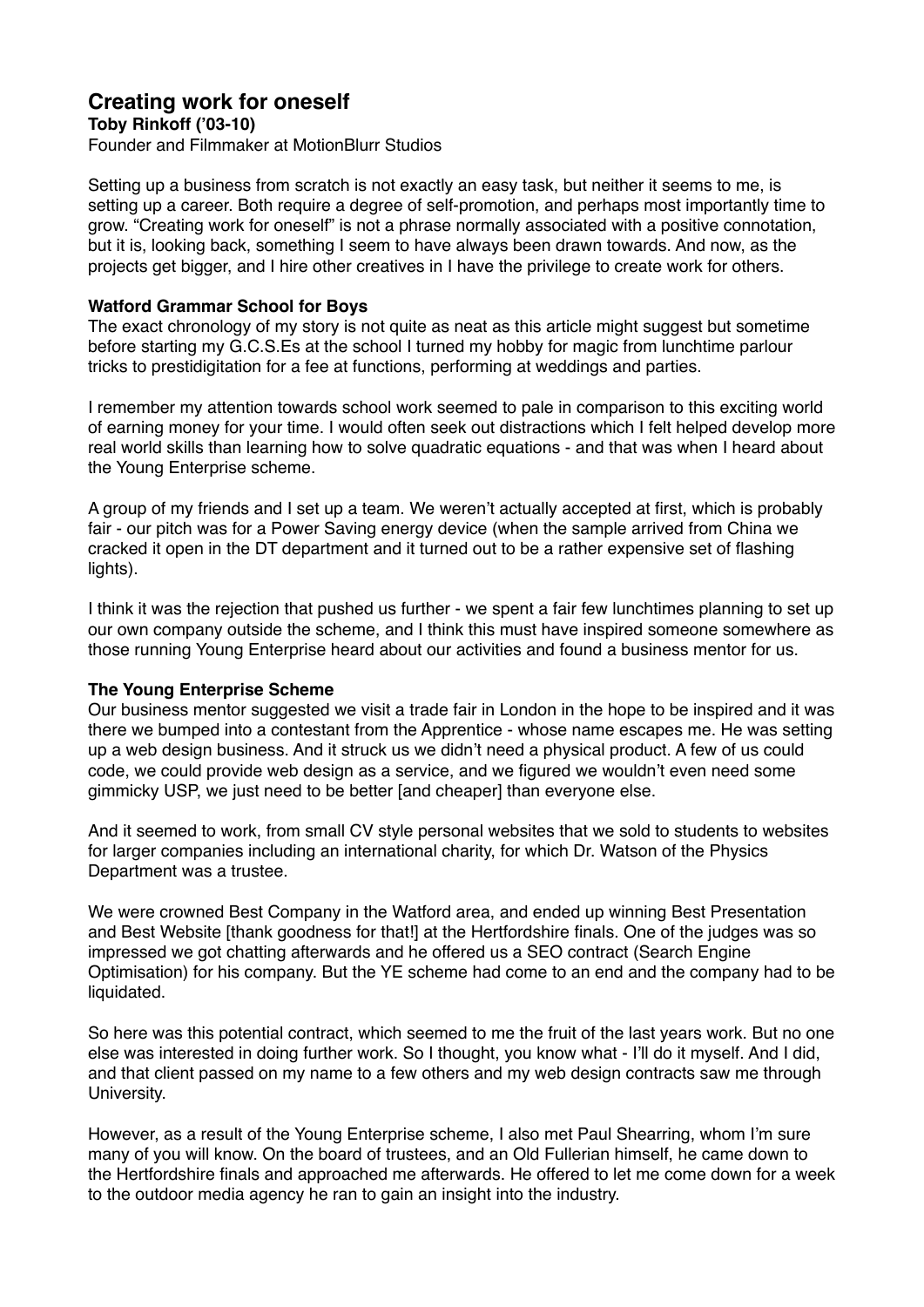# **Creating work for oneself**

**Toby Rinkoff ('03-10)**

Founder and Filmmaker at MotionBlurr Studios

Setting up a business from scratch is not exactly an easy task, but neither it seems to me, is setting up a career. Both require a degree of self-promotion, and perhaps most importantly time to grow. "Creating work for oneself" is not a phrase normally associated with a positive connotation, but it is, looking back, something I seem to have always been drawn towards. And now, as the projects get bigger, and I hire other creatives in I have the privilege to create work for others.

## **Watford Grammar School for Boys**

The exact chronology of my story is not quite as neat as this article might suggest but sometime before starting my G.C.S.Es at the school I turned my hobby for magic from lunchtime parlour tricks to prestidigitation for a fee at functions, performing at weddings and parties.

I remember my attention towards school work seemed to pale in comparison to this exciting world of earning money for your time. I would often seek out distractions which I felt helped develop more real world skills than learning how to solve quadratic equations - and that was when I heard about the Young Enterprise scheme.

A group of my friends and I set up a team. We weren't actually accepted at first, which is probably fair - our pitch was for a Power Saving energy device (when the sample arrived from China we cracked it open in the DT department and it turned out to be a rather expensive set of flashing lights).

I think it was the rejection that pushed us further - we spent a fair few lunchtimes planning to set up our own company outside the scheme, and I think this must have inspired someone somewhere as those running Young Enterprise heard about our activities and found a business mentor for us.

### **The Young Enterprise Scheme**

Our business mentor suggested we visit a trade fair in London in the hope to be inspired and it was there we bumped into a contestant from the Apprentice - whose name escapes me. He was setting up a web design business. And it struck us we didn't need a physical product. A few of us could code, we could provide web design as a service, and we figured we wouldn't even need some gimmicky USP, we just need to be better [and cheaper] than everyone else.

And it seemed to work, from small CV style personal websites that we sold to students to websites for larger companies including an international charity, for which Dr. Watson of the Physics Department was a trustee.

We were crowned Best Company in the Watford area, and ended up winning Best Presentation and Best Website [thank goodness for that!] at the Hertfordshire finals. One of the judges was so impressed we got chatting afterwards and he offered us a SEO contract (Search Engine Optimisation) for his company. But the YE scheme had come to an end and the company had to be liquidated.

So here was this potential contract, which seemed to me the fruit of the last years work. But no one else was interested in doing further work. So I thought, you know what - I'll do it myself. And I did, and that client passed on my name to a few others and my web design contracts saw me through University.

However, as a result of the Young Enterprise scheme, I also met Paul Shearring, whom I'm sure many of you will know. On the board of trustees, and an Old Fullerian himself, he came down to the Hertfordshire finals and approached me afterwards. He offered to let me come down for a week to the outdoor media agency he ran to gain an insight into the industry.